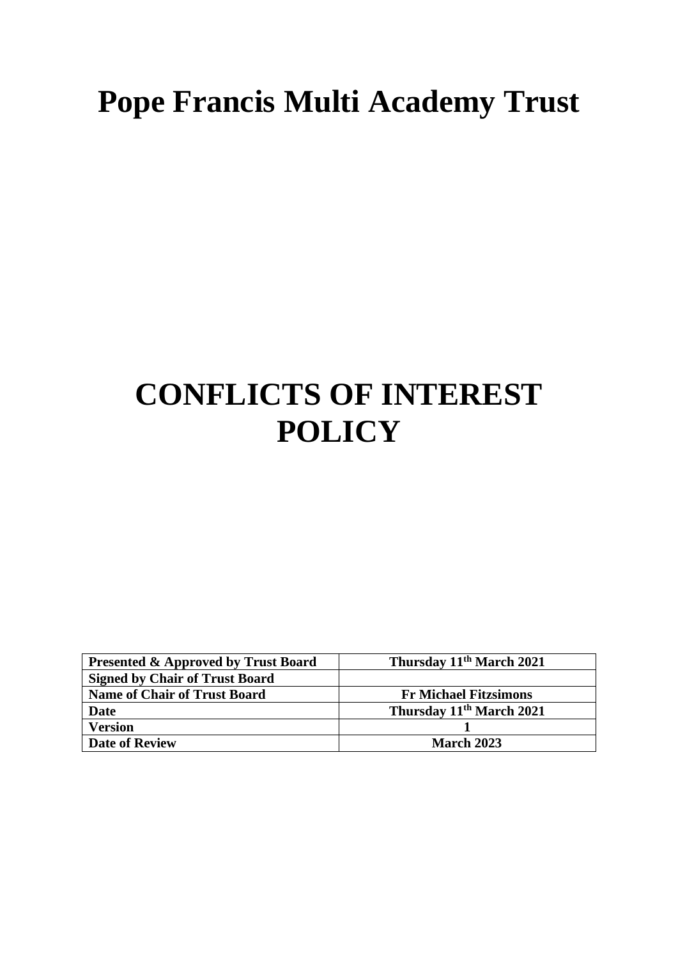# **Pope Francis Multi Academy Trust**

# **CONFLICTS OF INTEREST POLICY**

| <b>Presented &amp; Approved by Trust Board</b> | Thursday 11 <sup>th</sup> March 2021 |
|------------------------------------------------|--------------------------------------|
| <b>Signed by Chair of Trust Board</b>          |                                      |
| <b>Name of Chair of Trust Board</b>            | <b>Fr Michael Fitzsimons</b>         |
| Date                                           | Thursday 11 <sup>th</sup> March 2021 |
| <b>Version</b>                                 |                                      |
| <b>Date of Review</b>                          | <b>March 2023</b>                    |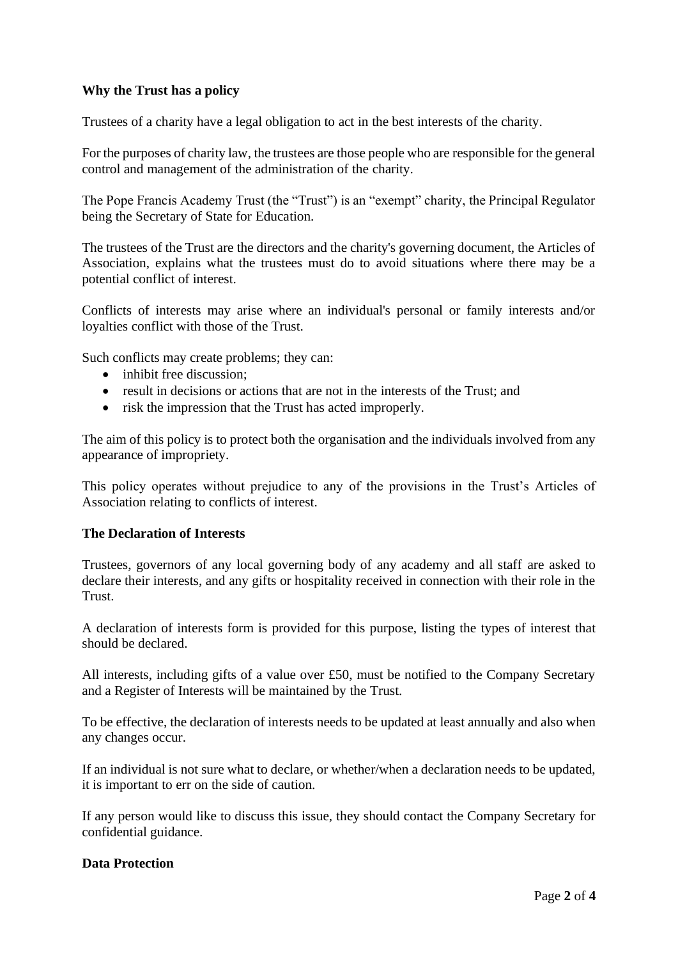# **Why the Trust has a policy**

Trustees of a charity have a legal obligation to act in the best interests of the charity.

For the purposes of charity law, the trustees are those people who are responsible for the general control and management of the administration of the charity.

The Pope Francis Academy Trust (the "Trust") is an "exempt" charity, the Principal Regulator being the Secretary of State for Education.

The trustees of the Trust are the directors and the charity's governing document, the Articles of Association, explains what the trustees must do to avoid situations where there may be a potential conflict of interest.

Conflicts of interests may arise where an individual's personal or family interests and/or loyalties conflict with those of the Trust.

Such conflicts may create problems; they can:

- inhibit free discussion:
- result in decisions or actions that are not in the interests of the Trust; and
- risk the impression that the Trust has acted improperly.

The aim of this policy is to protect both the organisation and the individuals involved from any appearance of impropriety.

This policy operates without prejudice to any of the provisions in the Trust's Articles of Association relating to conflicts of interest.

## **The Declaration of Interests**

Trustees, governors of any local governing body of any academy and all staff are asked to declare their interests, and any gifts or hospitality received in connection with their role in the Trust.

A declaration of interests form is provided for this purpose, listing the types of interest that should be declared.

All interests, including gifts of a value over £50, must be notified to the Company Secretary and a Register of Interests will be maintained by the Trust.

To be effective, the declaration of interests needs to be updated at least annually and also when any changes occur.

If an individual is not sure what to declare, or whether/when a declaration needs to be updated, it is important to err on the side of caution.

If any person would like to discuss this issue, they should contact the Company Secretary for confidential guidance.

#### **Data Protection**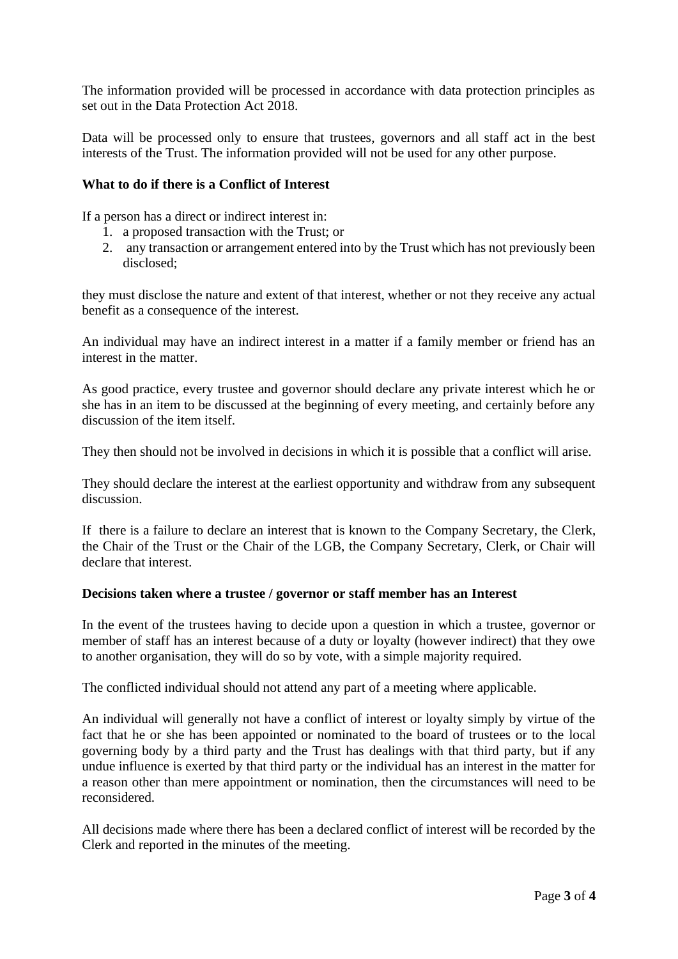The information provided will be processed in accordance with data protection principles as set out in the Data Protection Act 2018.

Data will be processed only to ensure that trustees, governors and all staff act in the best interests of the Trust. The information provided will not be used for any other purpose.

## **What to do if there is a Conflict of Interest**

If a person has a direct or indirect interest in:

- 1. a proposed transaction with the Trust; or
- 2. any transaction or arrangement entered into by the Trust which has not previously been disclosed;

they must disclose the nature and extent of that interest, whether or not they receive any actual benefit as a consequence of the interest.

An individual may have an indirect interest in a matter if a family member or friend has an interest in the matter.

As good practice, every trustee and governor should declare any private interest which he or she has in an item to be discussed at the beginning of every meeting, and certainly before any discussion of the item itself.

They then should not be involved in decisions in which it is possible that a conflict will arise.

They should declare the interest at the earliest opportunity and withdraw from any subsequent discussion.

If there is a failure to declare an interest that is known to the Company Secretary, the Clerk, the Chair of the Trust or the Chair of the LGB, the Company Secretary, Clerk, or Chair will declare that interest.

## **Decisions taken where a trustee / governor or staff member has an Interest**

In the event of the trustees having to decide upon a question in which a trustee, governor or member of staff has an interest because of a duty or loyalty (however indirect) that they owe to another organisation, they will do so by vote, with a simple majority required.

The conflicted individual should not attend any part of a meeting where applicable.

An individual will generally not have a conflict of interest or loyalty simply by virtue of the fact that he or she has been appointed or nominated to the board of trustees or to the local governing body by a third party and the Trust has dealings with that third party, but if any undue influence is exerted by that third party or the individual has an interest in the matter for a reason other than mere appointment or nomination, then the circumstances will need to be reconsidered.

All decisions made where there has been a declared conflict of interest will be recorded by the Clerk and reported in the minutes of the meeting.